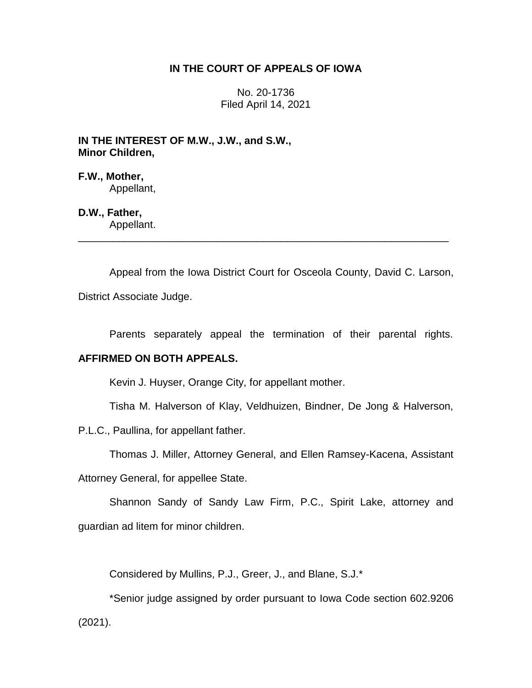# **IN THE COURT OF APPEALS OF IOWA**

No. 20-1736 Filed April 14, 2021

**IN THE INTEREST OF M.W., J.W., and S.W., Minor Children,**

**F.W., Mother,** Appellant,

**D.W., Father,** Appellant.

Appeal from the Iowa District Court for Osceola County, David C. Larson, District Associate Judge.

\_\_\_\_\_\_\_\_\_\_\_\_\_\_\_\_\_\_\_\_\_\_\_\_\_\_\_\_\_\_\_\_\_\_\_\_\_\_\_\_\_\_\_\_\_\_\_\_\_\_\_\_\_\_\_\_\_\_\_\_\_\_\_\_

Parents separately appeal the termination of their parental rights.

# **AFFIRMED ON BOTH APPEALS.**

Kevin J. Huyser, Orange City, for appellant mother.

Tisha M. Halverson of Klay, Veldhuizen, Bindner, De Jong & Halverson,

P.L.C., Paullina, for appellant father.

Thomas J. Miller, Attorney General, and Ellen Ramsey-Kacena, Assistant

Attorney General, for appellee State.

Shannon Sandy of Sandy Law Firm, P.C., Spirit Lake, attorney and guardian ad litem for minor children.

Considered by Mullins, P.J., Greer, J., and Blane, S.J.\*

\*Senior judge assigned by order pursuant to Iowa Code section 602.9206 (2021).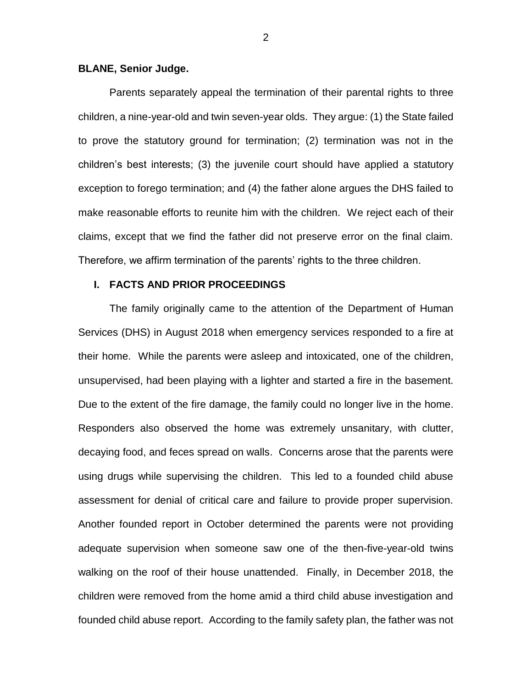### **BLANE, Senior Judge.**

Parents separately appeal the termination of their parental rights to three children, a nine-year-old and twin seven-year olds. They argue: (1) the State failed to prove the statutory ground for termination; (2) termination was not in the children's best interests; (3) the juvenile court should have applied a statutory exception to forego termination; and (4) the father alone argues the DHS failed to make reasonable efforts to reunite him with the children. We reject each of their claims, except that we find the father did not preserve error on the final claim. Therefore, we affirm termination of the parents' rights to the three children.

## **I. FACTS AND PRIOR PROCEEDINGS**

The family originally came to the attention of the Department of Human Services (DHS) in August 2018 when emergency services responded to a fire at their home. While the parents were asleep and intoxicated, one of the children, unsupervised, had been playing with a lighter and started a fire in the basement. Due to the extent of the fire damage, the family could no longer live in the home. Responders also observed the home was extremely unsanitary, with clutter, decaying food, and feces spread on walls. Concerns arose that the parents were using drugs while supervising the children. This led to a founded child abuse assessment for denial of critical care and failure to provide proper supervision. Another founded report in October determined the parents were not providing adequate supervision when someone saw one of the then-five-year-old twins walking on the roof of their house unattended. Finally, in December 2018, the children were removed from the home amid a third child abuse investigation and founded child abuse report. According to the family safety plan, the father was not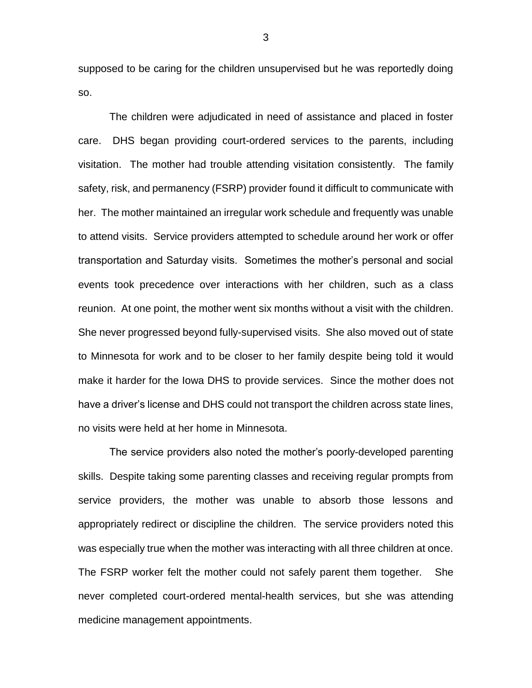supposed to be caring for the children unsupervised but he was reportedly doing so.

The children were adjudicated in need of assistance and placed in foster care. DHS began providing court-ordered services to the parents, including visitation. The mother had trouble attending visitation consistently. The family safety, risk, and permanency (FSRP) provider found it difficult to communicate with her. The mother maintained an irregular work schedule and frequently was unable to attend visits. Service providers attempted to schedule around her work or offer transportation and Saturday visits. Sometimes the mother's personal and social events took precedence over interactions with her children, such as a class reunion. At one point, the mother went six months without a visit with the children. She never progressed beyond fully-supervised visits. She also moved out of state to Minnesota for work and to be closer to her family despite being told it would make it harder for the Iowa DHS to provide services. Since the mother does not have a driver's license and DHS could not transport the children across state lines, no visits were held at her home in Minnesota.

The service providers also noted the mother's poorly-developed parenting skills. Despite taking some parenting classes and receiving regular prompts from service providers, the mother was unable to absorb those lessons and appropriately redirect or discipline the children. The service providers noted this was especially true when the mother was interacting with all three children at once. The FSRP worker felt the mother could not safely parent them together. She never completed court-ordered mental-health services, but she was attending medicine management appointments.

3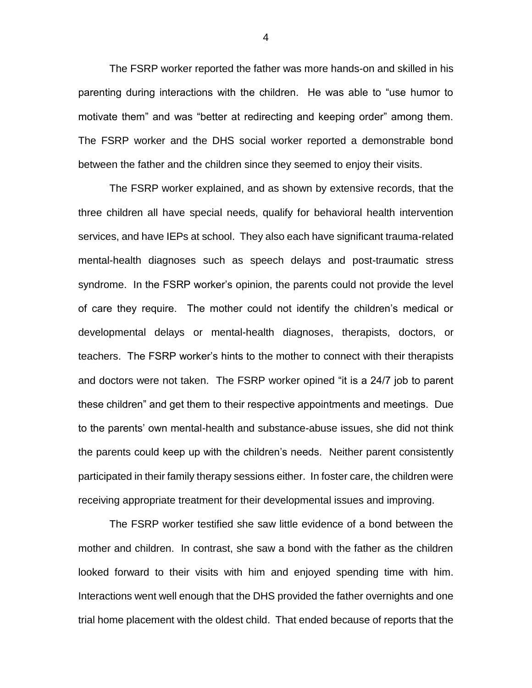The FSRP worker reported the father was more hands-on and skilled in his parenting during interactions with the children. He was able to "use humor to motivate them" and was "better at redirecting and keeping order" among them. The FSRP worker and the DHS social worker reported a demonstrable bond between the father and the children since they seemed to enjoy their visits.

The FSRP worker explained, and as shown by extensive records, that the three children all have special needs, qualify for behavioral health intervention services, and have IEPs at school. They also each have significant trauma-related mental-health diagnoses such as speech delays and post-traumatic stress syndrome. In the FSRP worker's opinion, the parents could not provide the level of care they require. The mother could not identify the children's medical or developmental delays or mental-health diagnoses, therapists, doctors, or teachers. The FSRP worker's hints to the mother to connect with their therapists and doctors were not taken. The FSRP worker opined "it is a 24/7 job to parent these children" and get them to their respective appointments and meetings. Due to the parents' own mental-health and substance-abuse issues, she did not think the parents could keep up with the children's needs. Neither parent consistently participated in their family therapy sessions either. In foster care, the children were receiving appropriate treatment for their developmental issues and improving.

The FSRP worker testified she saw little evidence of a bond between the mother and children. In contrast, she saw a bond with the father as the children looked forward to their visits with him and enjoyed spending time with him. Interactions went well enough that the DHS provided the father overnights and one trial home placement with the oldest child. That ended because of reports that the

4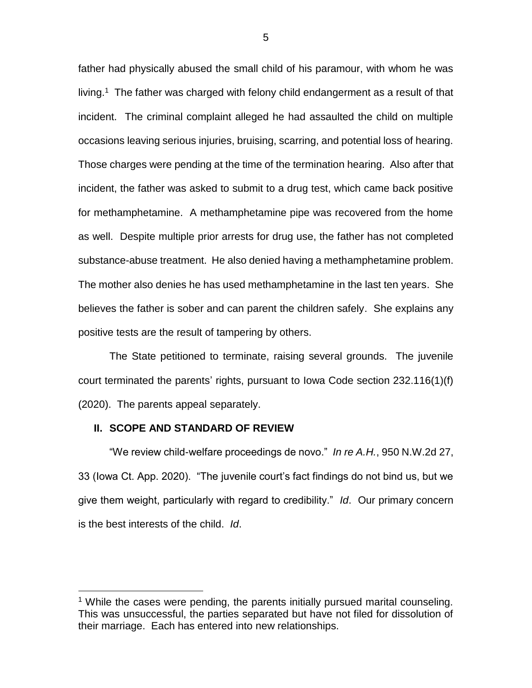father had physically abused the small child of his paramour, with whom he was living.<sup>1</sup> The father was charged with felony child endangerment as a result of that incident. The criminal complaint alleged he had assaulted the child on multiple occasions leaving serious injuries, bruising, scarring, and potential loss of hearing. Those charges were pending at the time of the termination hearing. Also after that incident, the father was asked to submit to a drug test, which came back positive for methamphetamine. A methamphetamine pipe was recovered from the home as well. Despite multiple prior arrests for drug use, the father has not completed substance-abuse treatment. He also denied having a methamphetamine problem. The mother also denies he has used methamphetamine in the last ten years. She believes the father is sober and can parent the children safely. She explains any positive tests are the result of tampering by others.

The State petitioned to terminate, raising several grounds. The juvenile court terminated the parents' rights, pursuant to Iowa Code section 232.116(1)(f) (2020). The parents appeal separately.

#### **II. SCOPE AND STANDARD OF REVIEW**

 $\overline{a}$ 

"We review child-welfare proceedings de novo." *In re A.H.*, 950 N.W.2d 27, 33 (Iowa Ct. App. 2020). "The juvenile court's fact findings do not bind us, but we give them weight, particularly with regard to credibility." *Id*. Our primary concern is the best interests of the child. *Id*.

<sup>&</sup>lt;sup>1</sup> While the cases were pending, the parents initially pursued marital counseling. This was unsuccessful, the parties separated but have not filed for dissolution of their marriage. Each has entered into new relationships.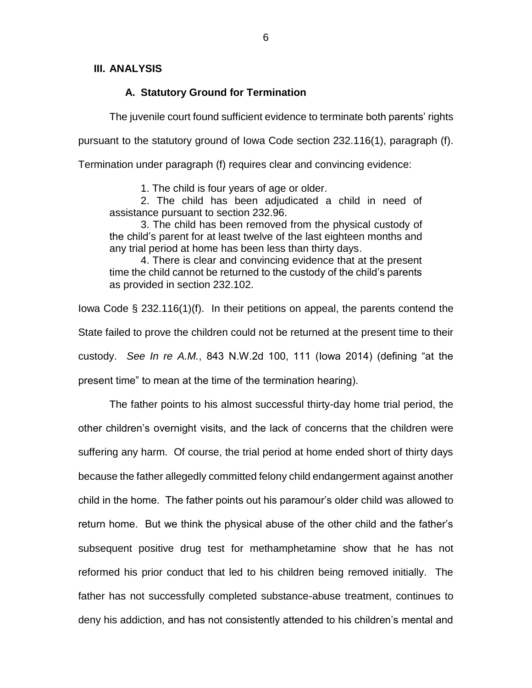## **III. ANALYSIS**

## **A. Statutory Ground for Termination**

The juvenile court found sufficient evidence to terminate both parents' rights pursuant to the statutory ground of Iowa Code section 232.116(1), paragraph (f).

Termination under paragraph (f) requires clear and convincing evidence:

1. The child is four years of age or older.

2. The child has been adjudicated a child in need of assistance pursuant to section 232.96.

3. The child has been removed from the physical custody of the child's parent for at least twelve of the last eighteen months and any trial period at home has been less than thirty days.

4. There is clear and convincing evidence that at the present time the child cannot be returned to the custody of the child's parents as provided in section 232.102.

Iowa Code § 232.116(1)(f). In their petitions on appeal, the parents contend the State failed to prove the children could not be returned at the present time to their custody. *See In re A.M.*, 843 N.W.2d 100, 111 (Iowa 2014) (defining "at the present time" to mean at the time of the termination hearing).

The father points to his almost successful thirty-day home trial period, the other children's overnight visits, and the lack of concerns that the children were suffering any harm. Of course, the trial period at home ended short of thirty days because the father allegedly committed felony child endangerment against another child in the home. The father points out his paramour's older child was allowed to return home. But we think the physical abuse of the other child and the father's subsequent positive drug test for methamphetamine show that he has not reformed his prior conduct that led to his children being removed initially. The father has not successfully completed substance-abuse treatment, continues to deny his addiction, and has not consistently attended to his children's mental and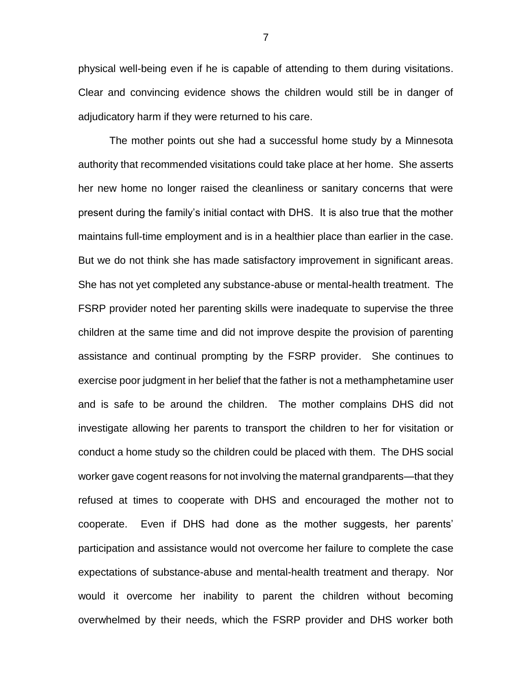physical well-being even if he is capable of attending to them during visitations. Clear and convincing evidence shows the children would still be in danger of adjudicatory harm if they were returned to his care.

The mother points out she had a successful home study by a Minnesota authority that recommended visitations could take place at her home. She asserts her new home no longer raised the cleanliness or sanitary concerns that were present during the family's initial contact with DHS. It is also true that the mother maintains full-time employment and is in a healthier place than earlier in the case. But we do not think she has made satisfactory improvement in significant areas. She has not yet completed any substance-abuse or mental-health treatment. The FSRP provider noted her parenting skills were inadequate to supervise the three children at the same time and did not improve despite the provision of parenting assistance and continual prompting by the FSRP provider. She continues to exercise poor judgment in her belief that the father is not a methamphetamine user and is safe to be around the children. The mother complains DHS did not investigate allowing her parents to transport the children to her for visitation or conduct a home study so the children could be placed with them. The DHS social worker gave cogent reasons for not involving the maternal grandparents—that they refused at times to cooperate with DHS and encouraged the mother not to cooperate. Even if DHS had done as the mother suggests, her parents' participation and assistance would not overcome her failure to complete the case expectations of substance-abuse and mental-health treatment and therapy. Nor would it overcome her inability to parent the children without becoming overwhelmed by their needs, which the FSRP provider and DHS worker both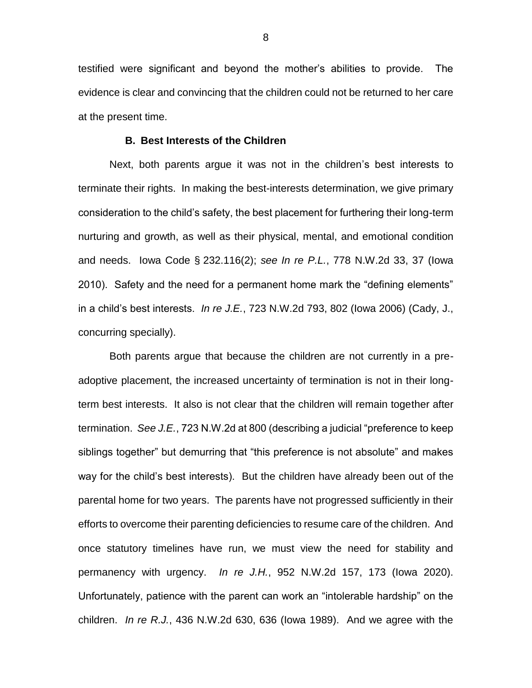testified were significant and beyond the mother's abilities to provide. The evidence is clear and convincing that the children could not be returned to her care at the present time.

#### **B. Best Interests of the Children**

Next, both parents argue it was not in the children's best interests to terminate their rights. In making the best-interests determination, we give primary consideration to the child's safety, the best placement for furthering their long-term nurturing and growth, as well as their physical, mental, and emotional condition and needs. Iowa Code § 232.116(2); *see In re P.L.*, 778 N.W.2d 33, 37 (Iowa 2010). Safety and the need for a permanent home mark the "defining elements" in a child's best interests. *In re J.E.*, 723 N.W.2d 793, 802 (Iowa 2006) (Cady, J., concurring specially).

Both parents argue that because the children are not currently in a preadoptive placement, the increased uncertainty of termination is not in their longterm best interests. It also is not clear that the children will remain together after termination. *See J.E.*, 723 N.W.2d at 800 (describing a judicial "preference to keep siblings together" but demurring that "this preference is not absolute" and makes way for the child's best interests). But the children have already been out of the parental home for two years. The parents have not progressed sufficiently in their efforts to overcome their parenting deficiencies to resume care of the children. And once statutory timelines have run, we must view the need for stability and permanency with urgency. *In re J.H.*, 952 N.W.2d 157, 173 (Iowa 2020). Unfortunately, patience with the parent can work an "intolerable hardship" on the children. *In re R.J.*, 436 N.W.2d 630, 636 (Iowa 1989). And we agree with the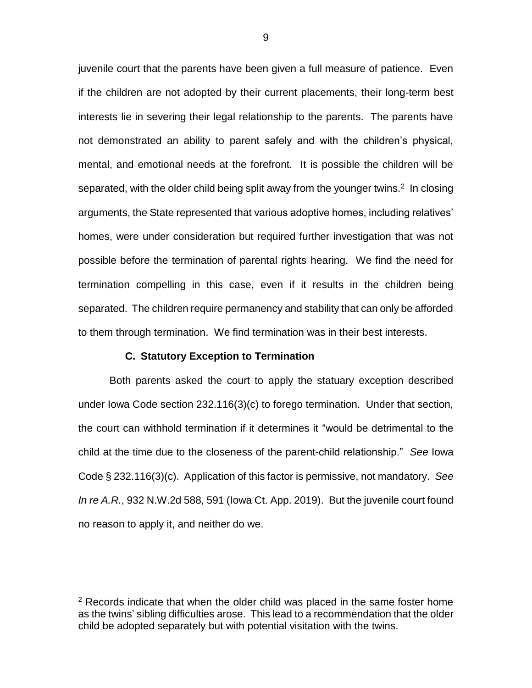juvenile court that the parents have been given a full measure of patience. Even if the children are not adopted by their current placements, their long-term best interests lie in severing their legal relationship to the parents. The parents have not demonstrated an ability to parent safely and with the children's physical, mental, and emotional needs at the forefront. It is possible the children will be separated, with the older child being split away from the younger twins. $2$  In closing arguments, the State represented that various adoptive homes, including relatives' homes, were under consideration but required further investigation that was not possible before the termination of parental rights hearing. We find the need for termination compelling in this case, even if it results in the children being separated. The children require permanency and stability that can only be afforded to them through termination. We find termination was in their best interests.

#### **C. Statutory Exception to Termination**

 $\overline{a}$ 

Both parents asked the court to apply the statuary exception described under Iowa Code section 232.116(3)(c) to forego termination. Under that section, the court can withhold termination if it determines it "would be detrimental to the child at the time due to the closeness of the parent-child relationship." *See* Iowa Code § 232.116(3)(c). Application of this factor is permissive, not mandatory. *See In re A.R.*, 932 N.W.2d 588, 591 (Iowa Ct. App. 2019). But the juvenile court found no reason to apply it, and neither do we.

 $2$  Records indicate that when the older child was placed in the same foster home as the twins' sibling difficulties arose. This lead to a recommendation that the older child be adopted separately but with potential visitation with the twins.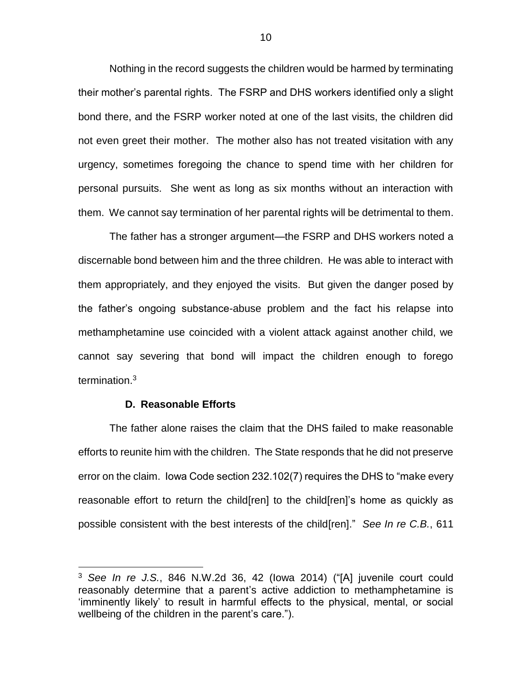Nothing in the record suggests the children would be harmed by terminating their mother's parental rights. The FSRP and DHS workers identified only a slight bond there, and the FSRP worker noted at one of the last visits, the children did not even greet their mother. The mother also has not treated visitation with any urgency, sometimes foregoing the chance to spend time with her children for personal pursuits. She went as long as six months without an interaction with them. We cannot say termination of her parental rights will be detrimental to them.

The father has a stronger argument—the FSRP and DHS workers noted a discernable bond between him and the three children. He was able to interact with them appropriately, and they enjoyed the visits. But given the danger posed by the father's ongoing substance-abuse problem and the fact his relapse into methamphetamine use coincided with a violent attack against another child, we cannot say severing that bond will impact the children enough to forego termination.<sup>3</sup>

### **D. Reasonable Efforts**

 $\overline{a}$ 

The father alone raises the claim that the DHS failed to make reasonable efforts to reunite him with the children. The State responds that he did not preserve error on the claim. Iowa Code section 232.102(7) requires the DHS to "make every reasonable effort to return the child[ren] to the child[ren]'s home as quickly as possible consistent with the best interests of the child[ren]." *See In re C.B.*, 611

<sup>3</sup> *See In re J.S.*, 846 N.W.2d 36, 42 (Iowa 2014) ("[A] juvenile court could reasonably determine that a parent's active addiction to methamphetamine is 'imminently likely' to result in harmful effects to the physical, mental, or social wellbeing of the children in the parent's care.").